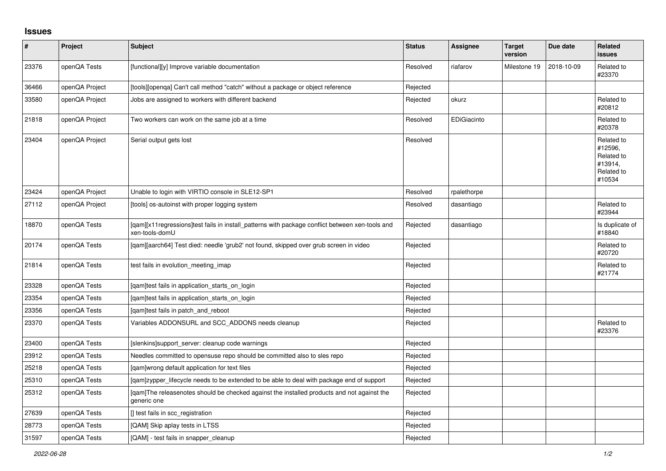## **Issues**

| $\sharp$ | Project        | <b>Subject</b>                                                                                                    | <b>Status</b> | Assignee    | <b>Target</b><br>version | Due date   | Related<br><b>issues</b>                                               |
|----------|----------------|-------------------------------------------------------------------------------------------------------------------|---------------|-------------|--------------------------|------------|------------------------------------------------------------------------|
| 23376    | openQA Tests   | [functional][y] Improve variable documentation                                                                    | Resolved      | riafarov    | Milestone 19             | 2018-10-09 | Related to<br>#23370                                                   |
| 36466    | openQA Project | [tools][openqa] Can't call method "catch" without a package or object reference                                   | Rejected      |             |                          |            |                                                                        |
| 33580    | openQA Project | Jobs are assigned to workers with different backend                                                               | Rejected      | okurz       |                          |            | Related to<br>#20812                                                   |
| 21818    | openQA Project | Two workers can work on the same job at a time                                                                    | Resolved      | EDiGiacinto |                          |            | Related to<br>#20378                                                   |
| 23404    | openQA Project | Serial output gets lost                                                                                           | Resolved      |             |                          |            | Related to<br>#12596,<br>Related to<br>#13914,<br>Related to<br>#10534 |
| 23424    | openQA Project | Unable to login with VIRTIO console in SLE12-SP1                                                                  | Resolved      | rpalethorpe |                          |            |                                                                        |
| 27112    | openQA Project | [tools] os-autoinst with proper logging system                                                                    | Resolved      | dasantiago  |                          |            | Related to<br>#23944                                                   |
| 18870    | openQA Tests   | [qam][x11regressions]test fails in install_patterns with package conflict between xen-tools and<br>xen-tools-domU | Rejected      | dasantiago  |                          |            | Is duplicate of<br>#18840                                              |
| 20174    | openQA Tests   | [gam][aarch64] Test died: needle 'grub2' not found, skipped over grub screen in video                             | Rejected      |             |                          |            | Related to<br>#20720                                                   |
| 21814    | openQA Tests   | test fails in evolution meeting imap                                                                              | Rejected      |             |                          |            | Related to<br>#21774                                                   |
| 23328    | openQA Tests   | [qam]test fails in application_starts_on_login                                                                    | Rejected      |             |                          |            |                                                                        |
| 23354    | openQA Tests   | [qam]test fails in application_starts_on_login                                                                    | Rejected      |             |                          |            |                                                                        |
| 23356    | openQA Tests   | [qam]test fails in patch_and_reboot                                                                               | Rejected      |             |                          |            |                                                                        |
| 23370    | openQA Tests   | Variables ADDONSURL and SCC_ADDONS needs cleanup                                                                  | Rejected      |             |                          |            | Related to<br>#23376                                                   |
| 23400    | openQA Tests   | [slenkins]support_server: cleanup code warnings                                                                   | Rejected      |             |                          |            |                                                                        |
| 23912    | openQA Tests   | Needles committed to opensuse repo should be committed also to sles repo                                          | Rejected      |             |                          |            |                                                                        |
| 25218    | openQA Tests   | gam]wrong default application for text files                                                                      | Rejected      |             |                          |            |                                                                        |
| 25310    | openQA Tests   | [gam]zypper lifecycle needs to be extended to be able to deal with package end of support                         | Rejected      |             |                          |            |                                                                        |
| 25312    | openQA Tests   | [gam]The releasenotes should be checked against the installed products and not against the<br>generic one         | Rejected      |             |                          |            |                                                                        |
| 27639    | openQA Tests   | [] test fails in scc_registration                                                                                 | Rejected      |             |                          |            |                                                                        |
| 28773    | openQA Tests   | [QAM] Skip aplay tests in LTSS                                                                                    | Rejected      |             |                          |            |                                                                        |
| 31597    | openQA Tests   | [QAM] - test fails in snapper cleanup                                                                             | Rejected      |             |                          |            |                                                                        |